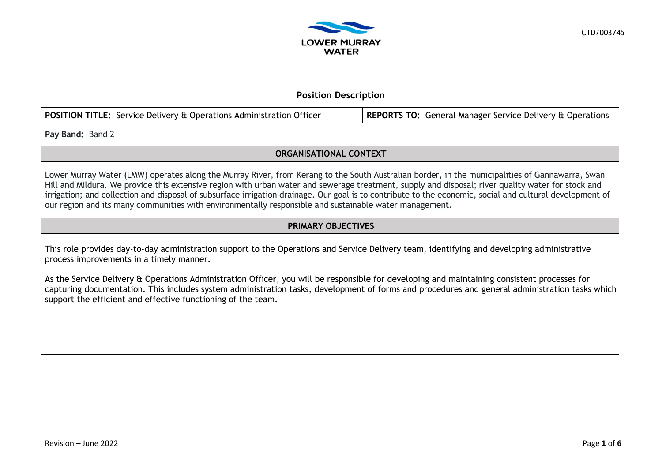

## **Position Description**

| <b>POSITION TITLE:</b> Service Delivery & Operations Administration Officer | <b>REPORTS TO: General Manager Service Delivery &amp; Operations</b> |
|-----------------------------------------------------------------------------|----------------------------------------------------------------------|
|                                                                             |                                                                      |

**Pay Band:** Band 2

# **ORGANISATIONAL CONTEXT**

Lower Murray Water (LMW) operates along the Murray River, from Kerang to the South Australian border, in the municipalities of Gannawarra, Swan Hill and Mildura. We provide this extensive region with urban water and sewerage treatment, supply and disposal; river quality water for stock and irrigation; and collection and disposal of subsurface irrigation drainage. Our goal is to contribute to the economic, social and cultural development of our region and its many communities with environmentally responsible and sustainable water management.

# **PRIMARY OBJECTIVES**

This role provides day-to-day administration support to the Operations and Service Delivery team, identifying and developing administrative process improvements in a timely manner.

As the Service Delivery & Operations Administration Officer, you will be responsible for developing and maintaining consistent processes for capturing documentation. This includes system administration tasks, development of forms and procedures and general administration tasks which support the efficient and effective functioning of the team.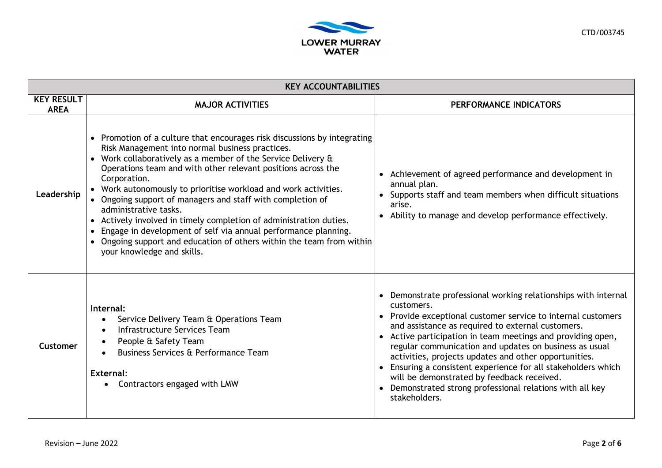

| <b>KEY ACCOUNTABILITIES</b>      |                                                                                                                                                                                                                                                                                                                                                                                                                                                                                                                                                                                                                                                                                        |                                                                                                                                                                                                                                                                                                                                                                                                                                                                                                                                                                            |  |  |
|----------------------------------|----------------------------------------------------------------------------------------------------------------------------------------------------------------------------------------------------------------------------------------------------------------------------------------------------------------------------------------------------------------------------------------------------------------------------------------------------------------------------------------------------------------------------------------------------------------------------------------------------------------------------------------------------------------------------------------|----------------------------------------------------------------------------------------------------------------------------------------------------------------------------------------------------------------------------------------------------------------------------------------------------------------------------------------------------------------------------------------------------------------------------------------------------------------------------------------------------------------------------------------------------------------------------|--|--|
| <b>KEY RESULT</b><br><b>AREA</b> | <b>MAJOR ACTIVITIES</b>                                                                                                                                                                                                                                                                                                                                                                                                                                                                                                                                                                                                                                                                | PERFORMANCE INDICATORS                                                                                                                                                                                                                                                                                                                                                                                                                                                                                                                                                     |  |  |
| Leadership                       | • Promotion of a culture that encourages risk discussions by integrating<br>Risk Management into normal business practices.<br>• Work collaboratively as a member of the Service Delivery &<br>Operations team and with other relevant positions across the<br>Corporation.<br>• Work autonomously to prioritise workload and work activities.<br>• Ongoing support of managers and staff with completion of<br>administrative tasks.<br>• Actively involved in timely completion of administration duties.<br>• Engage in development of self via annual performance planning.<br>• Ongoing support and education of others within the team from within<br>your knowledge and skills. | Achievement of agreed performance and development in<br>annual plan.<br>Supports staff and team members when difficult situations<br>arise.<br>Ability to manage and develop performance effectively.                                                                                                                                                                                                                                                                                                                                                                      |  |  |
| Customer                         | Internal:<br>Service Delivery Team & Operations Team<br>$\bullet$<br>Infrastructure Services Team<br>People & Safety Team<br>Business Services & Performance Team<br>External:<br>Contractors engaged with LMW                                                                                                                                                                                                                                                                                                                                                                                                                                                                         | • Demonstrate professional working relationships with internal<br>customers.<br>• Provide exceptional customer service to internal customers<br>and assistance as required to external customers.<br>Active participation in team meetings and providing open,<br>regular communication and updates on business as usual<br>activities, projects updates and other opportunities.<br>Ensuring a consistent experience for all stakeholders which<br>will be demonstrated by feedback received.<br>Demonstrated strong professional relations with all key<br>stakeholders. |  |  |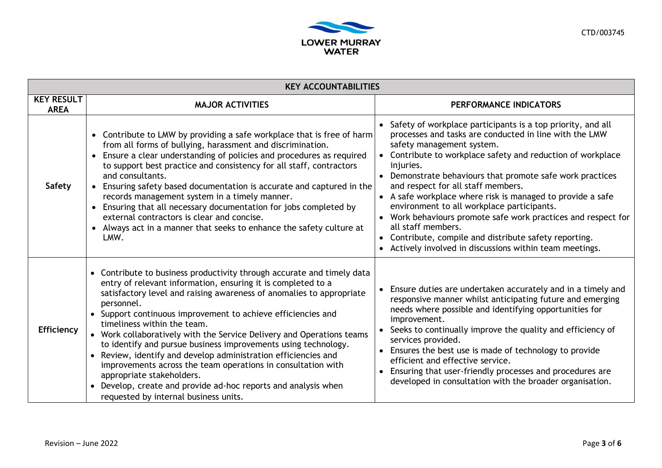

| <b>KEY ACCOUNTABILITIES</b>      |                                                                                                                                                                                                                                                                                                                                                                                                                                                                                                                                                                                                                                                                                                                                                  |                                                                                                                                                                                                                                                                                                                                                                                                                                                                                                                                                                                                                                                |  |  |  |
|----------------------------------|--------------------------------------------------------------------------------------------------------------------------------------------------------------------------------------------------------------------------------------------------------------------------------------------------------------------------------------------------------------------------------------------------------------------------------------------------------------------------------------------------------------------------------------------------------------------------------------------------------------------------------------------------------------------------------------------------------------------------------------------------|------------------------------------------------------------------------------------------------------------------------------------------------------------------------------------------------------------------------------------------------------------------------------------------------------------------------------------------------------------------------------------------------------------------------------------------------------------------------------------------------------------------------------------------------------------------------------------------------------------------------------------------------|--|--|--|
| <b>KEY RESULT</b><br><b>AREA</b> | <b>MAJOR ACTIVITIES</b>                                                                                                                                                                                                                                                                                                                                                                                                                                                                                                                                                                                                                                                                                                                          | PERFORMANCE INDICATORS                                                                                                                                                                                                                                                                                                                                                                                                                                                                                                                                                                                                                         |  |  |  |
| <b>Safety</b>                    | • Contribute to LMW by providing a safe workplace that is free of harm<br>from all forms of bullying, harassment and discrimination.<br>• Ensure a clear understanding of policies and procedures as required<br>to support best practice and consistency for all staff, contractors<br>and consultants.<br>• Ensuring safety based documentation is accurate and captured in the<br>records management system in a timely manner.<br>• Ensuring that all necessary documentation for jobs completed by<br>external contractors is clear and concise.<br>• Always act in a manner that seeks to enhance the safety culture at<br>LMW.                                                                                                            | Safety of workplace participants is a top priority, and all<br>processes and tasks are conducted in line with the LMW<br>safety management system.<br>Contribute to workplace safety and reduction of workplace<br>injuries.<br>Demonstrate behaviours that promote safe work practices<br>and respect for all staff members.<br>A safe workplace where risk is managed to provide a safe<br>environment to all workplace participants.<br>Work behaviours promote safe work practices and respect for<br>all staff members.<br>Contribute, compile and distribute safety reporting.<br>Actively involved in discussions within team meetings. |  |  |  |
| <b>Efficiency</b>                | • Contribute to business productivity through accurate and timely data<br>entry of relevant information, ensuring it is completed to a<br>satisfactory level and raising awareness of anomalies to appropriate<br>personnel.<br>• Support continuous improvement to achieve efficiencies and<br>timeliness within the team.<br>• Work collaboratively with the Service Delivery and Operations teams<br>to identify and pursue business improvements using technology.<br>• Review, identify and develop administration efficiencies and<br>improvements across the team operations in consultation with<br>appropriate stakeholders.<br>• Develop, create and provide ad-hoc reports and analysis when<br>requested by internal business units. | Ensure duties are undertaken accurately and in a timely and<br>responsive manner whilst anticipating future and emerging<br>needs where possible and identifying opportunities for<br>improvement.<br>Seeks to continually improve the quality and efficiency of<br>services provided.<br>Ensures the best use is made of technology to provide<br>efficient and effective service.<br>Ensuring that user-friendly processes and procedures are<br>developed in consultation with the broader organisation.                                                                                                                                    |  |  |  |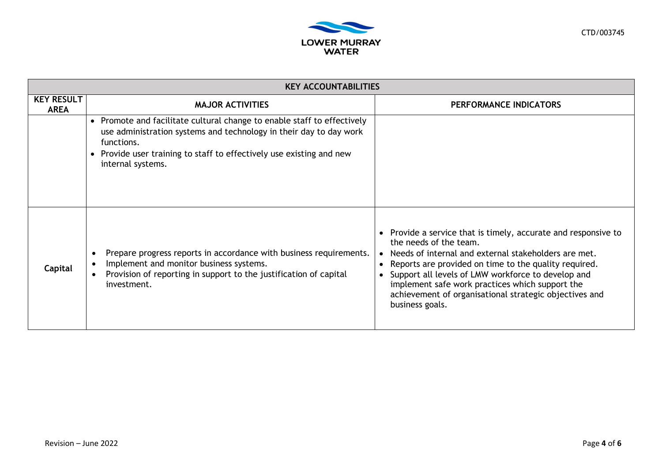

| <b>KEY ACCOUNTABILITIES</b>      |                                                                                                                                                                                                                                                          |                                                                                                                                                                                                                                                                                                                                                                                                              |  |  |
|----------------------------------|----------------------------------------------------------------------------------------------------------------------------------------------------------------------------------------------------------------------------------------------------------|--------------------------------------------------------------------------------------------------------------------------------------------------------------------------------------------------------------------------------------------------------------------------------------------------------------------------------------------------------------------------------------------------------------|--|--|
| <b>KEY RESULT</b><br><b>AREA</b> | <b>MAJOR ACTIVITIES</b>                                                                                                                                                                                                                                  | PERFORMANCE INDICATORS                                                                                                                                                                                                                                                                                                                                                                                       |  |  |
|                                  | • Promote and facilitate cultural change to enable staff to effectively<br>use administration systems and technology in their day to day work<br>functions.<br>• Provide user training to staff to effectively use existing and new<br>internal systems. |                                                                                                                                                                                                                                                                                                                                                                                                              |  |  |
| Capital                          | Prepare progress reports in accordance with business requirements.<br>Implement and monitor business systems.<br>Provision of reporting in support to the justification of capital<br>investment.                                                        | • Provide a service that is timely, accurate and responsive to<br>the needs of the team.<br>Needs of internal and external stakeholders are met.<br>Reports are provided on time to the quality required.<br>$\bullet$<br>Support all levels of LMW workforce to develop and<br>implement safe work practices which support the<br>achievement of organisational strategic objectives and<br>business goals. |  |  |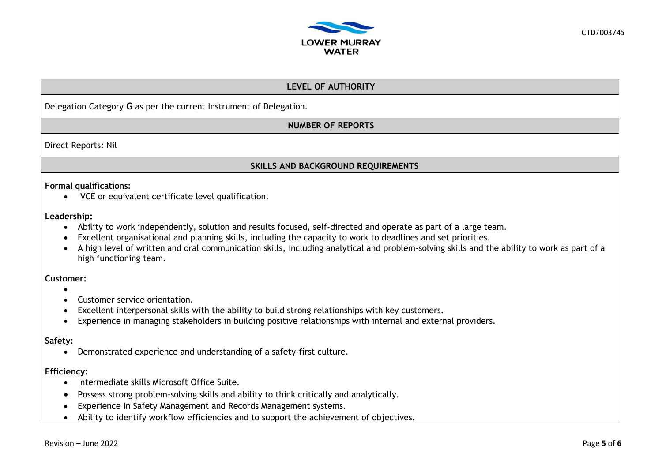

# **LEVEL OF AUTHORITY**

Delegation Category **G** as per the current Instrument of Delegation.

**NUMBER OF REPORTS**

Direct Reports: Nil

### **SKILLS AND BACKGROUND REQUIREMENTS**

### **Formal qualifications:**

• VCE or equivalent certificate level qualification.

### **Leadership:**

- Ability to work independently, solution and results focused, self-directed and operate as part of a large team.
- Excellent organisational and planning skills, including the capacity to work to deadlines and set priorities.
- A high level of written and oral communication skills, including analytical and problem-solving skills and the ability to work as part of a high functioning team.

### **Customer:**

- •
- Customer service orientation.
- Excellent interpersonal skills with the ability to build strong relationships with key customers.
- Experience in managing stakeholders in building positive relationships with internal and external providers.

### **Safety:**

• Demonstrated experience and understanding of a safety-first culture.

### **Efficiency:**

- Intermediate skills Microsoft Office Suite.
- Possess strong problem-solving skills and ability to think critically and analytically.
- Experience in Safety Management and Records Management systems.
- Ability to identify workflow efficiencies and to support the achievement of objectives.